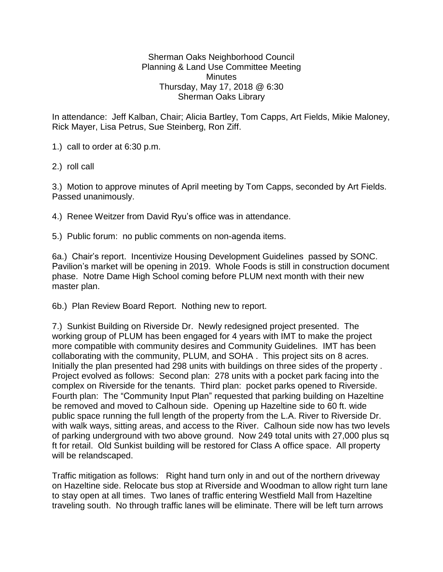## Sherman Oaks Neighborhood Council Planning & Land Use Committee Meeting **Minutes** Thursday, May 17, 2018 @ 6:30 Sherman Oaks Library

In attendance: Jeff Kalban, Chair; Alicia Bartley, Tom Capps, Art Fields, Mikie Maloney, Rick Mayer, Lisa Petrus, Sue Steinberg, Ron Ziff.

1.) call to order at 6:30 p.m.

2.) roll call

3.) Motion to approve minutes of April meeting by Tom Capps, seconded by Art Fields. Passed unanimously.

4.) Renee Weitzer from David Ryu's office was in attendance.

5.) Public forum: no public comments on non-agenda items.

6a.) Chair's report. Incentivize Housing Development Guidelines passed by SONC. Pavilion's market will be opening in 2019. Whole Foods is still in construction document phase. Notre Dame High School coming before PLUM next month with their new master plan.

6b.) Plan Review Board Report. Nothing new to report.

7.) Sunkist Building on Riverside Dr. Newly redesigned project presented. The working group of PLUM has been engaged for 4 years with IMT to make the project more compatible with community desires and Community Guidelines. IMT has been collaborating with the community, PLUM, and SOHA . This project sits on 8 acres. Initially the plan presented had 298 units with buildings on three sides of the property . Project evolved as follows: Second plan: 278 units with a pocket park facing into the complex on Riverside for the tenants. Third plan: pocket parks opened to Riverside. Fourth plan: The "Community Input Plan" requested that parking building on Hazeltine be removed and moved to Calhoun side. Opening up Hazeltine side to 60 ft. wide public space running the full length of the property from the L.A. River to Riverside Dr. with walk ways, sitting areas, and access to the River. Calhoun side now has two levels of parking underground with two above ground. Now 249 total units with 27,000 plus sq ft for retail. Old Sunkist building will be restored for Class A office space. All property will be relandscaped.

Traffic mitigation as follows: Right hand turn only in and out of the northern driveway on Hazeltine side. Relocate bus stop at Riverside and Woodman to allow right turn lane to stay open at all times. Two lanes of traffic entering Westfield Mall from Hazeltine traveling south. No through traffic lanes will be eliminate. There will be left turn arrows